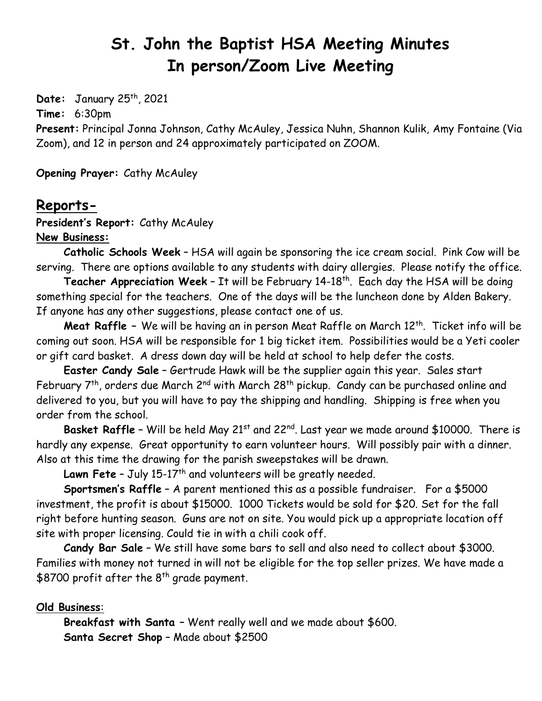# **St. John the Baptist HSA Meeting Minutes In person/Zoom Live Meeting**

**Date:** January 25th, 2021

**Time:** 6:30pm

**Present:** Principal Jonna Johnson, Cathy McAuley, Jessica Nuhn, Shannon Kulik, Amy Fontaine (Via Zoom), and 12 in person and 24 approximately participated on ZOOM.

**Opening Prayer:** Cathy McAuley

### **Reports-**

**President's Report:** Cathy McAuley

**New Business:**

**Catholic Schools Week** – HSA will again be sponsoring the ice cream social. Pink Cow will be serving. There are options available to any students with dairy allergies. Please notify the office.

**Teacher Appreciation Week** - It will be February 14-18<sup>th</sup>. Each day the HSA will be doing something special for the teachers. One of the days will be the luncheon done by Alden Bakery. If anyone has any other suggestions, please contact one of us.

**Meat Raffle** - We will be having an in person Meat Raffle on March 12<sup>th</sup>. Ticket info will be coming out soon. HSA will be responsible for 1 big ticket item. Possibilities would be a Yeti cooler or gift card basket. A dress down day will be held at school to help defer the costs.

**Easter Candy Sale** – Gertrude Hawk will be the supplier again this year. Sales start February  $7<sup>th</sup>$ , orders due March 2<sup>nd</sup> with March 28<sup>th</sup> pickup. Candy can be purchased online and delivered to you, but you will have to pay the shipping and handling. Shipping is free when you order from the school.

**Basket Raffle -** Will be held May 21<sup>st</sup> and 22<sup>nd</sup>. Last year we made around \$10000. There is hardly any expense. Great opportunity to earn volunteer hours. Will possibly pair with a dinner. Also at this time the drawing for the parish sweepstakes will be drawn.

Lawn Fete - July 15-17<sup>th</sup> and volunteers will be greatly needed.

**Sportsmen's Raffle** – A parent mentioned this as a possible fundraiser. For a \$5000 investment, the profit is about \$15000. 1000 Tickets would be sold for \$20. Set for the fall right before hunting season. Guns are not on site. You would pick up a appropriate location off site with proper licensing. Could tie in with a chili cook off.

**Candy Bar Sale** – We still have some bars to sell and also need to collect about \$3000. Families with money not turned in will not be eligible for the top seller prizes. We have made a \$8700 profit after the  $8<sup>th</sup>$  grade payment.

#### **Old Business**:

**Breakfast with Santa –** Went really well and we made about \$600. **Santa Secret Shop** – Made about \$2500